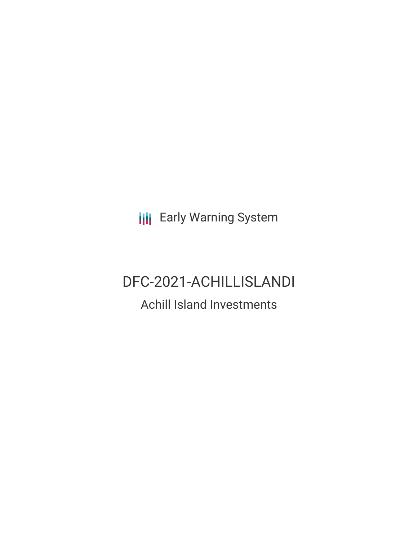**III** Early Warning System

# DFC-2021-ACHILLISLANDI

## Achill Island Investments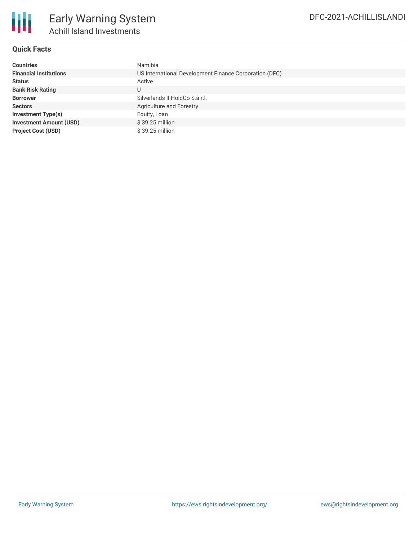

#### **Quick Facts**

| <b>Countries</b>               | Namibia                                                |
|--------------------------------|--------------------------------------------------------|
| <b>Financial Institutions</b>  | US International Development Finance Corporation (DFC) |
| <b>Status</b>                  | Active                                                 |
| <b>Bank Risk Rating</b>        | U                                                      |
| <b>Borrower</b>                | Silverlands II HoldCo S.à r.l.                         |
| <b>Sectors</b>                 | Agriculture and Forestry                               |
| Investment Type(s)             | Equity, Loan                                           |
| <b>Investment Amount (USD)</b> | $$39.25$ million                                       |
| <b>Project Cost (USD)</b>      | $$39.25$ million                                       |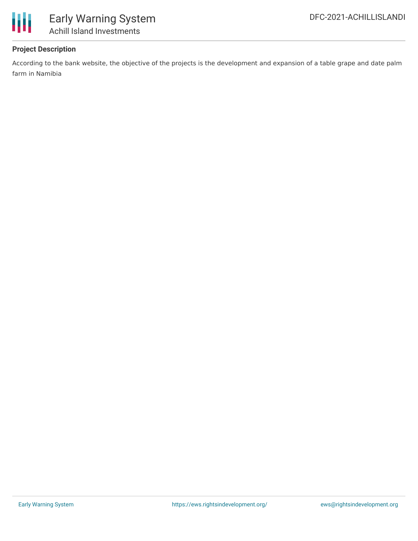

### **Project Description**

According to the bank website, the objective of the projects is the development and expansion of a table grape and date palm farm in Namibia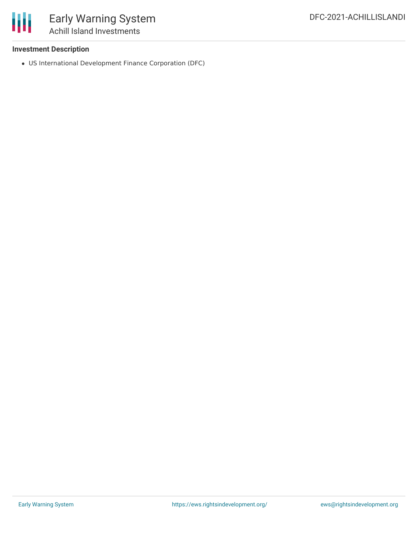

#### **Investment Description**

US International Development Finance Corporation (DFC)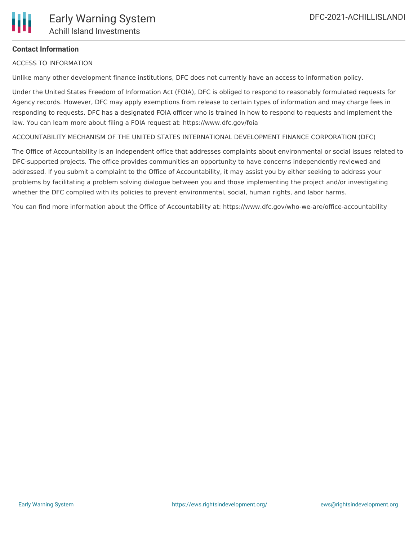### **Contact Information**

ACCESS TO INFORMATION

Unlike many other development finance institutions, DFC does not currently have an access to information policy.

Under the United States Freedom of Information Act (FOIA), DFC is obliged to respond to reasonably formulated requests for Agency records. However, DFC may apply exemptions from release to certain types of information and may charge fees in responding to requests. DFC has a designated FOIA officer who is trained in how to respond to requests and implement the law. You can learn more about filing a FOIA request at: https://www.dfc.gov/foia

ACCOUNTABILITY MECHANISM OF THE UNITED STATES INTERNATIONAL DEVELOPMENT FINANCE CORPORATION (DFC)

The Office of Accountability is an independent office that addresses complaints about environmental or social issues related to DFC-supported projects. The office provides communities an opportunity to have concerns independently reviewed and addressed. If you submit a complaint to the Office of Accountability, it may assist you by either seeking to address your problems by facilitating a problem solving dialogue between you and those implementing the project and/or investigating whether the DFC complied with its policies to prevent environmental, social, human rights, and labor harms.

You can find more information about the Office of Accountability at: https://www.dfc.gov/who-we-are/office-accountability